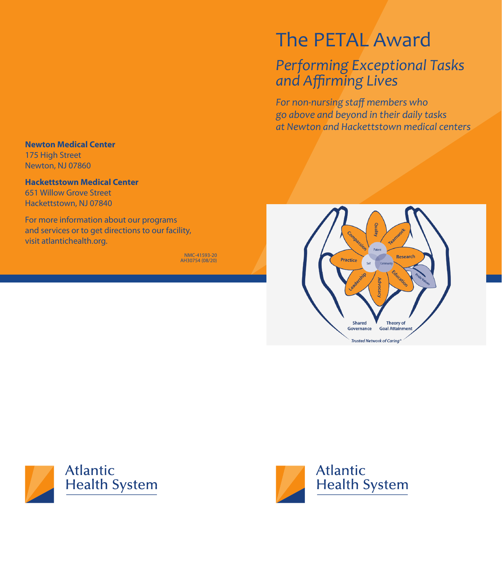#### **11 Overlook Road Newton Medical Center**<br>175 Uirde Gi

**Summit, NJ 07901** Newton, NJ 07860 175 High Street

### **Hackettstown Medical Center**

**Hatkettstown medical Center**<br>651 Willow Grove Street phow Giove Street<br>Call 978480 or visit to visit the visit of visit to visit the visit of visit to visit the visit to visit the v Hackettstown, NJ 07840

For more information about our programs and services or to get directions to our facility, visit atlantichealth.org.

NMC-41593-20 AH30754 (08/20)

# The PETAL Award

## *Performing Exceptional Tasks and Affirming Lives*

*For non-nursing staff members who go above and beyond in their daily tasks at Newton and Hackettstown medical centers*